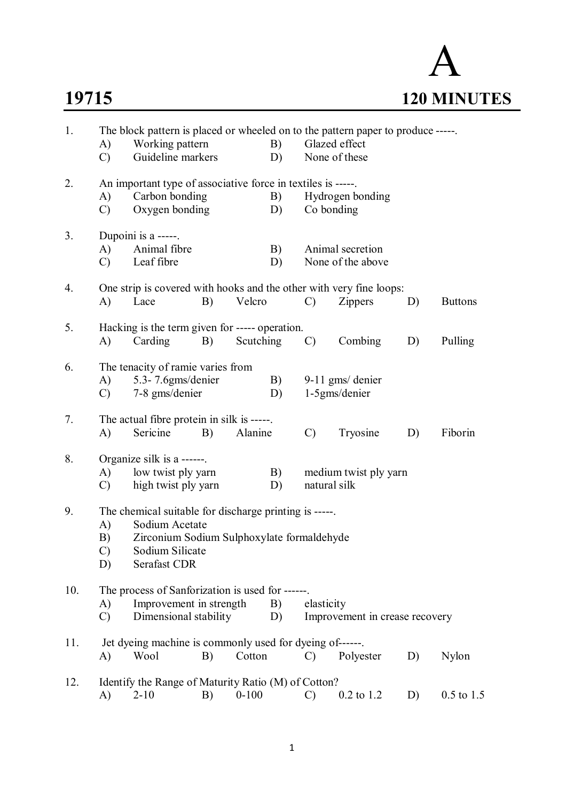A **19715 120 MINUTES**

| 1.  | A)<br>$\mathcal{C}$                                                                                                                                                                                 | The block pattern is placed or wheeled on to the pattern paper to produce -----<br>B)<br>Working pattern<br>Guideline markers<br>D)                              |    |           |          |               | Glazed effect<br>None of these                                                        |    |                |  |  |
|-----|-----------------------------------------------------------------------------------------------------------------------------------------------------------------------------------------------------|------------------------------------------------------------------------------------------------------------------------------------------------------------------|----|-----------|----------|---------------|---------------------------------------------------------------------------------------|----|----------------|--|--|
| 2.  | A)<br>$\mathcal{C}$                                                                                                                                                                                 | An important type of associative force in textiles is -----.<br>Carbon bonding<br>B)<br>Hydrogen bonding<br>Oxygen bonding<br>D)<br>Co bonding                   |    |           |          |               |                                                                                       |    |                |  |  |
| 3.  | A)<br>$\mathcal{C}$                                                                                                                                                                                 | Dupoini is a -----.<br>Animal fibre<br>B)<br>Leaf fibre<br>D)                                                                                                    |    |           |          |               | Animal secretion<br>None of the above                                                 |    |                |  |  |
| 4.  | $\bf{A}$                                                                                                                                                                                            | Lace                                                                                                                                                             | B) | Velcro    |          | $\mathcal{C}$ | One strip is covered with hooks and the other with very fine loops:<br><b>Zippers</b> | D) | <b>Buttons</b> |  |  |
| 5.  | A)                                                                                                                                                                                                  | Hacking is the term given for ----- operation.<br>Carding                                                                                                        | B) | Scutching |          | $\mathcal{C}$ | Combing                                                                               | D) | Pulling        |  |  |
| 6.  | A)<br>$\mathcal{C}$                                                                                                                                                                                 | The tenacity of ramie varies from<br>5.3-7.6gms/denier<br>B)<br>$9-11$ gms/ denier<br>1-5gms/denier<br>7-8 gms/denier<br>D)                                      |    |           |          |               |                                                                                       |    |                |  |  |
| 7.  | A)                                                                                                                                                                                                  | The actual fibre protein in silk is -----.<br>Sericine                                                                                                           | B) | Alanine   |          | $\mathcal{C}$ | Tryosine                                                                              | D) | Fiborin        |  |  |
| 8.  | A)<br>$\mathcal{C}$                                                                                                                                                                                 | Organize silk is a ------.<br>low twist ply yarn<br>high twist ply yarn                                                                                          |    |           | B)<br>D) | natural silk  | medium twist ply yarn                                                                 |    |                |  |  |
| 9.  | The chemical suitable for discharge printing is -----.<br>Sodium Acetate<br>A)<br>Zirconium Sodium Sulphoxylate formaldehyde<br>B)<br>Sodium Silicate<br>$\mathcal{C}$<br><b>Serafast CDR</b><br>D) |                                                                                                                                                                  |    |           |          |               |                                                                                       |    |                |  |  |
| 10. | A)<br>$\mathcal{C}$                                                                                                                                                                                 | The process of Sanforization is used for ------.<br>Improvement in strength<br>B)<br>elasticity<br>Dimensional stability<br>Improvement in crease recovery<br>D) |    |           |          |               |                                                                                       |    |                |  |  |
| 11. | A)                                                                                                                                                                                                  | Jet dyeing machine is commonly used for dyeing of------<br>Wool                                                                                                  | B) | Cotton    |          | $\mathcal{C}$ | Polyester                                                                             | D) | Nylon          |  |  |
| 12. | A)                                                                                                                                                                                                  | Identify the Range of Maturity Ratio (M) of Cotton?<br>$2 - 10$                                                                                                  | B) | $0 - 100$ |          | $\mathcal{C}$ | $0.2$ to 1.2                                                                          | D) | $0.5$ to 1.5   |  |  |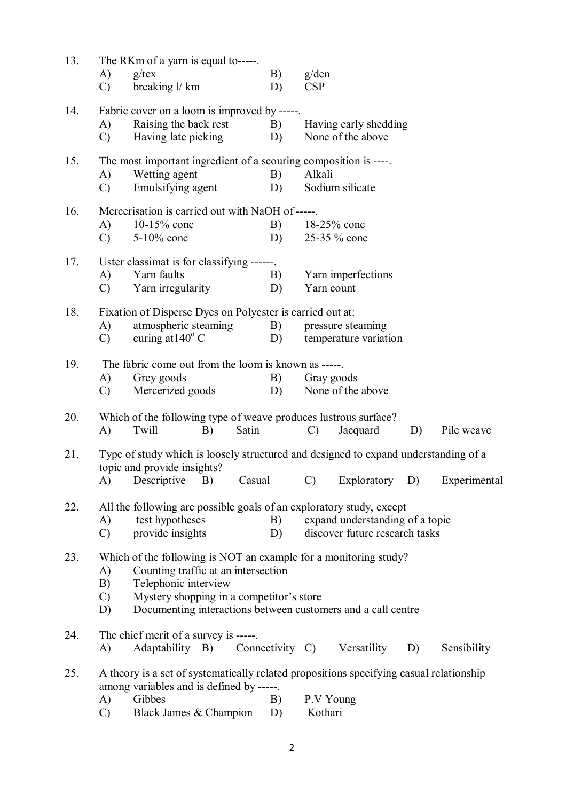| 13. | A)<br>$\mathcal{C}$                                                                                                                                                                                                                                                            | The RKm of a yarn is equal to-----<br>$g$ /tex<br>breaking l/ km                                                                                                        |        | B)<br>D)        | g/den<br><b>CSP</b>  |                                            |    |              |
|-----|--------------------------------------------------------------------------------------------------------------------------------------------------------------------------------------------------------------------------------------------------------------------------------|-------------------------------------------------------------------------------------------------------------------------------------------------------------------------|--------|-----------------|----------------------|--------------------------------------------|----|--------------|
| 14. | A)<br>$\mathcal{C}$                                                                                                                                                                                                                                                            | Fabric cover on a loom is improved by -----.<br>Raising the back rest<br>Having late picking                                                                            |        | B)<br>D)        |                      | Having early shedding<br>None of the above |    |              |
| 15. | The most important ingredient of a scouring composition is ----.<br>Wetting agent<br>B)<br>Alkali<br>A)<br>Emulsifying agent<br>Sodium silicate<br>$\mathcal{C}$<br>D)                                                                                                         |                                                                                                                                                                         |        |                 |                      |                                            |    |              |
| 16. | (A)<br>$\mathcal{C}$                                                                                                                                                                                                                                                           | Mercerisation is carried out with NaOH of -----.<br>$10-15%$ conc<br>5-10% conc                                                                                         |        | B)<br>D)        |                      | 18-25% conc<br>25-35 % conc                |    |              |
| 17. | A)<br>$\mathcal{C}$                                                                                                                                                                                                                                                            | Uster classimat is for classifying ------.<br>Yarn faults<br>Yarn irregularity                                                                                          |        | B)<br>D)        | Yarn count           | Yarn imperfections                         |    |              |
| 18. | Fixation of Disperse Dyes on Polyester is carried out at:<br>atmospheric steaming<br><b>B</b> )<br>pressure steaming<br>A)<br>curing at $140^{\circ}$ C<br>D)<br>temperature variation<br>$\mathcal{C}$                                                                        |                                                                                                                                                                         |        |                 |                      |                                            |    |              |
| 19. | A)<br>$\mathcal{C}$                                                                                                                                                                                                                                                            | The fabric come out from the loom is known as -----<br>Grey goods<br>Mercerized goods                                                                                   |        | B)<br>D)        | Gray goods           | None of the above                          |    |              |
| 20. | A)                                                                                                                                                                                                                                                                             | Which of the following type of weave produces lustrous surface?<br>Twill<br>B)                                                                                          | Satin  |                 | $\mathcal{C}$        | Jacquard                                   | D) | Pile weave   |
| 21. | A)                                                                                                                                                                                                                                                                             | Type of study which is loosely structured and designed to expand understanding of a<br>topic and provide insights?<br>Descriptive<br>B)                                 | Casual |                 | $\mathcal{C}$        | Exploratory D)                             |    | Experimental |
| 22. | All the following are possible goals of an exploratory study, except<br>test hypotheses<br>B)<br>expand understanding of a topic<br>A)<br>provide insights<br>discover future research tasks<br>$\mathcal{C}$<br>D)                                                            |                                                                                                                                                                         |        |                 |                      |                                            |    |              |
| 23. | Which of the following is NOT an example for a monitoring study?<br>Counting traffic at an intersection<br>A)<br>B)<br>Telephonic interview<br>Mystery shopping in a competitor's store<br>$\mathcal{C}$<br>Documenting interactions between customers and a call centre<br>D) |                                                                                                                                                                         |        |                 |                      |                                            |    |              |
| 24. | A)                                                                                                                                                                                                                                                                             | The chief merit of a survey is -----.<br>Adaptability B)                                                                                                                |        | Connectivity C) |                      | Versatility                                | D) | Sensibility  |
| 25. | A)<br>$\mathcal{C}$                                                                                                                                                                                                                                                            | A theory is a set of systematically related propositions specifying casual relationship<br>among variables and is defined by -----.<br>Gibbes<br>Black James & Champion |        | B)<br>D)        | P.V Young<br>Kothari |                                            |    |              |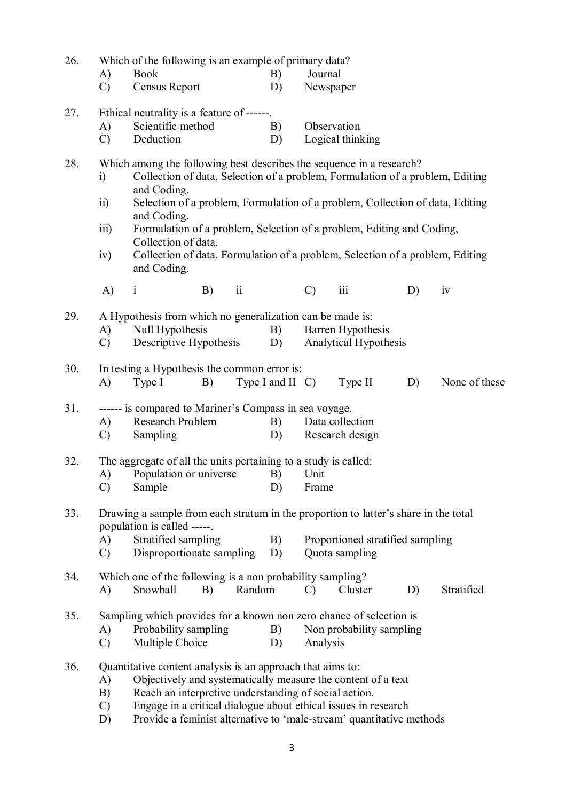| 26. | Which of the following is an example of primary data?                                                              |                                                                                                                                                                                                                                                       |    |                 |                                |                                  |                       |    |               |  |  |  |
|-----|--------------------------------------------------------------------------------------------------------------------|-------------------------------------------------------------------------------------------------------------------------------------------------------------------------------------------------------------------------------------------------------|----|-----------------|--------------------------------|----------------------------------|-----------------------|----|---------------|--|--|--|
|     | A)                                                                                                                 | <b>Book</b>                                                                                                                                                                                                                                           |    |                 | B)                             | Journal                          |                       |    |               |  |  |  |
|     | $\mathcal{C}$                                                                                                      | Census Report                                                                                                                                                                                                                                         |    |                 | D)                             | Newspaper                        |                       |    |               |  |  |  |
| 27. |                                                                                                                    | Ethical neutrality is a feature of ------                                                                                                                                                                                                             |    |                 |                                |                                  |                       |    |               |  |  |  |
|     | A)                                                                                                                 | Scientific method                                                                                                                                                                                                                                     |    |                 | B)                             | Observation                      |                       |    |               |  |  |  |
|     | $\mathcal{C}$                                                                                                      | Deduction                                                                                                                                                                                                                                             |    |                 | D)                             |                                  | Logical thinking      |    |               |  |  |  |
| 28. | $\ddot{1}$<br>$\overline{11}$                                                                                      | Which among the following best describes the sequence in a research?<br>Collection of data, Selection of a problem, Formulation of a problem, Editing<br>and Coding.<br>Selection of a problem, Formulation of a problem, Collection of data, Editing |    |                 |                                |                                  |                       |    |               |  |  |  |
|     |                                                                                                                    | and Coding.                                                                                                                                                                                                                                           |    |                 |                                |                                  |                       |    |               |  |  |  |
|     | iii)                                                                                                               | Formulation of a problem, Selection of a problem, Editing and Coding,<br>Collection of data,                                                                                                                                                          |    |                 |                                |                                  |                       |    |               |  |  |  |
|     | iv)                                                                                                                | Collection of data, Formulation of a problem, Selection of a problem, Editing<br>and Coding.                                                                                                                                                          |    |                 |                                |                                  |                       |    |               |  |  |  |
|     | A)                                                                                                                 | $\mathbf{i}$                                                                                                                                                                                                                                          | B) | $\rm ii$        |                                | $\mathcal{C}$                    | $\rm iii$             | D) | iv            |  |  |  |
| 29. | A Hypothesis from which no generalization can be made is:                                                          |                                                                                                                                                                                                                                                       |    |                 |                                |                                  |                       |    |               |  |  |  |
|     | A)                                                                                                                 | Null Hypothesis                                                                                                                                                                                                                                       |    |                 |                                | Barren Hypothesis                |                       |    |               |  |  |  |
|     | $\mathcal{C}$                                                                                                      | Descriptive Hypothesis                                                                                                                                                                                                                                |    |                 | D)                             |                                  | Analytical Hypothesis |    |               |  |  |  |
| 30. |                                                                                                                    | In testing a Hypothesis the common error is:                                                                                                                                                                                                          |    |                 |                                |                                  |                       |    |               |  |  |  |
|     | A)                                                                                                                 | Type I                                                                                                                                                                                                                                                | B) |                 | Type I and II C)               |                                  | Type II               | D) | None of these |  |  |  |
| 31. |                                                                                                                    | ------ is compared to Mariner's Compass in sea voyage.                                                                                                                                                                                                |    |                 |                                |                                  |                       |    |               |  |  |  |
|     | A)                                                                                                                 | Research Problem                                                                                                                                                                                                                                      |    |                 | B)                             | Data collection                  |                       |    |               |  |  |  |
|     | $\mathcal{C}$                                                                                                      | Sampling                                                                                                                                                                                                                                              | D) | Research design |                                |                                  |                       |    |               |  |  |  |
| 32. | The aggregate of all the units pertaining to a study is called:                                                    |                                                                                                                                                                                                                                                       |    |                 |                                |                                  |                       |    |               |  |  |  |
|     |                                                                                                                    | A) Population or universe B) Unit                                                                                                                                                                                                                     |    |                 |                                |                                  |                       |    |               |  |  |  |
|     | $\mathcal{C}$                                                                                                      | Sample                                                                                                                                                                                                                                                |    |                 | D)                             | Frame                            |                       |    |               |  |  |  |
| 33. | Drawing a sample from each stratum in the proportion to latter's share in the total<br>population is called -----. |                                                                                                                                                                                                                                                       |    |                 |                                |                                  |                       |    |               |  |  |  |
|     | A)                                                                                                                 | Stratified sampling                                                                                                                                                                                                                                   |    |                 | B)                             | Proportioned stratified sampling |                       |    |               |  |  |  |
|     | C)                                                                                                                 | Disproportionate sampling                                                                                                                                                                                                                             |    |                 | D)                             |                                  | Quota sampling        |    |               |  |  |  |
| 34. | Which one of the following is a non probability sampling?                                                          |                                                                                                                                                                                                                                                       |    |                 |                                |                                  |                       |    |               |  |  |  |
|     | A)                                                                                                                 | Snowball                                                                                                                                                                                                                                              | B) | Random          |                                | $\mathcal{C}$                    | Cluster               | D) | Stratified    |  |  |  |
| 35. |                                                                                                                    | Sampling which provides for a known non zero chance of selection is                                                                                                                                                                                   |    |                 |                                |                                  |                       |    |               |  |  |  |
|     | A)                                                                                                                 | Probability sampling                                                                                                                                                                                                                                  |    |                 | B)<br>Non probability sampling |                                  |                       |    |               |  |  |  |
|     | $\mathcal{C}$                                                                                                      | Multiple Choice<br>D)<br>Analysis                                                                                                                                                                                                                     |    |                 |                                |                                  |                       |    |               |  |  |  |
| 36. |                                                                                                                    | Quantitative content analysis is an approach that aims to:                                                                                                                                                                                            |    |                 |                                |                                  |                       |    |               |  |  |  |
|     | A)                                                                                                                 | Objectively and systematically measure the content of a text                                                                                                                                                                                          |    |                 |                                |                                  |                       |    |               |  |  |  |
|     | B)                                                                                                                 | Reach an interpretive understanding of social action.                                                                                                                                                                                                 |    |                 |                                |                                  |                       |    |               |  |  |  |
|     | $\mathcal{C}$                                                                                                      | Engage in a critical dialogue about ethical issues in research                                                                                                                                                                                        |    |                 |                                |                                  |                       |    |               |  |  |  |
|     | D)                                                                                                                 | Provide a feminist alternative to 'male-stream' quantitative methods                                                                                                                                                                                  |    |                 |                                |                                  |                       |    |               |  |  |  |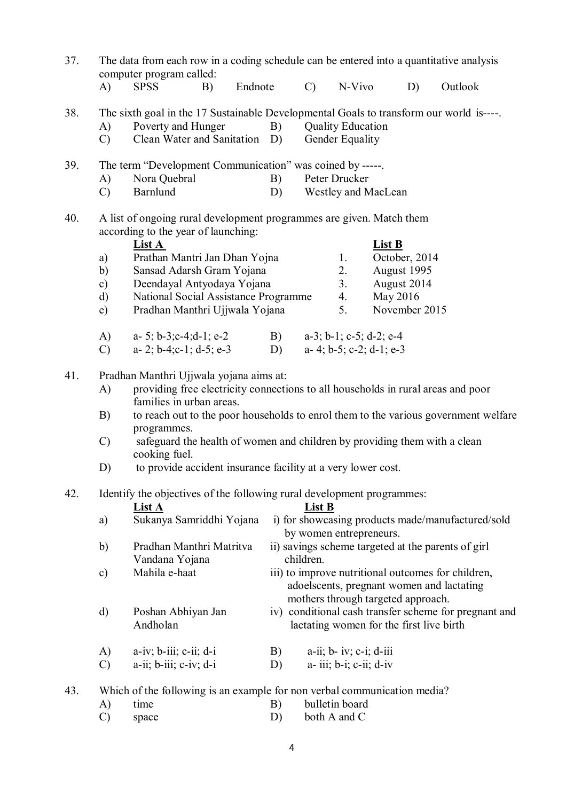| 37.<br>The data from each row in a coding schedule can be entered into a quantitative analysis<br>computer program called: |                                                                                         |                                                                                                              |    |         |                                                                 |                                          |                                     |                          |               |                                                       |  |  |  |
|----------------------------------------------------------------------------------------------------------------------------|-----------------------------------------------------------------------------------------|--------------------------------------------------------------------------------------------------------------|----|---------|-----------------------------------------------------------------|------------------------------------------|-------------------------------------|--------------------------|---------------|-------------------------------------------------------|--|--|--|
|                                                                                                                            | $\bf{A}$                                                                                | <b>SPSS</b>                                                                                                  | B) | Endnote |                                                                 | $\mathcal{C}$ )                          | N-Vivo                              |                          | D)            | Outlook                                               |  |  |  |
| 38.                                                                                                                        | The sixth goal in the 17 Sustainable Developmental Goals to transform our world is----. |                                                                                                              |    |         |                                                                 |                                          |                                     |                          |               |                                                       |  |  |  |
|                                                                                                                            | A)                                                                                      | Poverty and Hunger                                                                                           |    |         | B)                                                              |                                          | <b>Quality Education</b>            |                          |               |                                                       |  |  |  |
|                                                                                                                            | $\mathcal{C}$                                                                           | Clean Water and Sanitation D)                                                                                |    |         |                                                                 |                                          | Gender Equality                     |                          |               |                                                       |  |  |  |
| 39.                                                                                                                        |                                                                                         | The term "Development Communication" was coined by -----.                                                    |    |         |                                                                 |                                          |                                     |                          |               |                                                       |  |  |  |
|                                                                                                                            | A)                                                                                      | Nora Quebral                                                                                                 |    |         | B)                                                              |                                          | Peter Drucker                       |                          |               |                                                       |  |  |  |
|                                                                                                                            | $\mathcal{C}$                                                                           | Barnlund<br>Westley and MacLean<br>D)                                                                        |    |         |                                                                 |                                          |                                     |                          |               |                                                       |  |  |  |
| 40.                                                                                                                        | A list of ongoing rural development programmes are given. Match them                    |                                                                                                              |    |         |                                                                 |                                          |                                     |                          |               |                                                       |  |  |  |
|                                                                                                                            | according to the year of launching:                                                     |                                                                                                              |    |         |                                                                 |                                          |                                     |                          |               |                                                       |  |  |  |
|                                                                                                                            |                                                                                         | List A                                                                                                       |    |         |                                                                 |                                          |                                     | <b>List B</b>            |               |                                                       |  |  |  |
|                                                                                                                            | a)                                                                                      | Prathan Mantri Jan Dhan Yojna                                                                                |    |         |                                                                 |                                          | 1.                                  |                          | October, 2014 |                                                       |  |  |  |
|                                                                                                                            | b)                                                                                      | Sansad Adarsh Gram Yojana                                                                                    |    |         |                                                                 |                                          | 2.                                  |                          | August 1995   |                                                       |  |  |  |
|                                                                                                                            | $\mathbf{c})$                                                                           | Deendayal Antyodaya Yojana                                                                                   |    |         |                                                                 |                                          | 3.                                  | August 2014              |               |                                                       |  |  |  |
|                                                                                                                            | $\mathbf{d}$                                                                            | National Social Assistance Programme                                                                         |    |         |                                                                 |                                          | 4.                                  | May 2016                 |               |                                                       |  |  |  |
|                                                                                                                            | e)                                                                                      | Pradhan Manthri Ujjwala Yojana                                                                               |    |         |                                                                 |                                          | 5.                                  |                          | November 2015 |                                                       |  |  |  |
|                                                                                                                            | A)                                                                                      | a- 5; b-3; c-4; d-1; e-2                                                                                     |    |         |                                                                 | B) $a-3$ ; b-1; c-5; d-2; e-4            |                                     |                          |               |                                                       |  |  |  |
|                                                                                                                            | $\mathcal{C}$                                                                           | a- 2; b-4;c-1; d-5; e-3                                                                                      |    |         | D)                                                              |                                          |                                     | a- 4; b-5; c-2; d-1; e-3 |               |                                                       |  |  |  |
| 41.                                                                                                                        | Pradhan Manthri Ujjwala yojana aims at:                                                 |                                                                                                              |    |         |                                                                 |                                          |                                     |                          |               |                                                       |  |  |  |
|                                                                                                                            | A)                                                                                      | providing free electricity connections to all households in rural areas and poor<br>families in urban areas. |    |         |                                                                 |                                          |                                     |                          |               |                                                       |  |  |  |
|                                                                                                                            | B)                                                                                      | to reach out to the poor households to enrol them to the various government welfare<br>programmes.           |    |         |                                                                 |                                          |                                     |                          |               |                                                       |  |  |  |
|                                                                                                                            | $\mathcal{C}$                                                                           | safeguard the health of women and children by providing them with a clean<br>cooking fuel.                   |    |         |                                                                 |                                          |                                     |                          |               |                                                       |  |  |  |
|                                                                                                                            | D)                                                                                      | to provide accident insurance facility at a very lower cost.                                                 |    |         |                                                                 |                                          |                                     |                          |               |                                                       |  |  |  |
| 42.                                                                                                                        | Identify the objectives of the following rural development programmes:                  |                                                                                                              |    |         |                                                                 |                                          |                                     |                          |               |                                                       |  |  |  |
|                                                                                                                            |                                                                                         | List A                                                                                                       |    |         |                                                                 | List B                                   |                                     |                          |               |                                                       |  |  |  |
|                                                                                                                            | a)                                                                                      | Sukanya Samriddhi Yojana                                                                                     |    |         |                                                                 |                                          |                                     |                          |               | i) for showcasing products made/manufactured/sold     |  |  |  |
|                                                                                                                            |                                                                                         |                                                                                                              |    |         |                                                                 | by women entrepreneurs.                  |                                     |                          |               |                                                       |  |  |  |
|                                                                                                                            | b)                                                                                      | Pradhan Manthri Matritva<br>Vandana Yojana                                                                   |    |         | ii) savings scheme targeted at the parents of girl<br>children. |                                          |                                     |                          |               |                                                       |  |  |  |
|                                                                                                                            | $\mathbf{c})$                                                                           | Mahila e-haat                                                                                                |    |         |                                                                 |                                          |                                     |                          |               | iii) to improve nutritional outcomes for children,    |  |  |  |
|                                                                                                                            |                                                                                         |                                                                                                              |    |         |                                                                 |                                          |                                     |                          |               | adoelscents, pregnant women and lactating             |  |  |  |
|                                                                                                                            |                                                                                         |                                                                                                              |    |         |                                                                 | mothers through targeted approach.       |                                     |                          |               |                                                       |  |  |  |
|                                                                                                                            | $\mathbf{d}$                                                                            | Poshan Abhiyan Jan                                                                                           |    |         |                                                                 |                                          |                                     |                          |               | iv) conditional cash transfer scheme for pregnant and |  |  |  |
|                                                                                                                            |                                                                                         | Andholan                                                                                                     |    |         |                                                                 | lactating women for the first live birth |                                     |                          |               |                                                       |  |  |  |
|                                                                                                                            | A)                                                                                      | $a-iv; b-iii; c-ii; d-i$                                                                                     |    |         | B)                                                              |                                          | $a$ -ii; $b$ - iv; $c$ -i; $d$ -iii |                          |               |                                                       |  |  |  |
|                                                                                                                            | $\mathcal{C}$                                                                           | $a$ -ii; $b$ -iii; $c$ -iv; $d$ -i                                                                           |    |         | D)                                                              |                                          | $a$ - iii; $b$ -i; $c$ -ii; $d$ -iv |                          |               |                                                       |  |  |  |
| 43.                                                                                                                        | Which of the following is an example for non verbal communication media?                |                                                                                                              |    |         |                                                                 |                                          |                                     |                          |               |                                                       |  |  |  |
|                                                                                                                            | A)                                                                                      | time                                                                                                         |    |         | B)                                                              |                                          | bulletin board                      |                          |               |                                                       |  |  |  |

C) space D) both A and C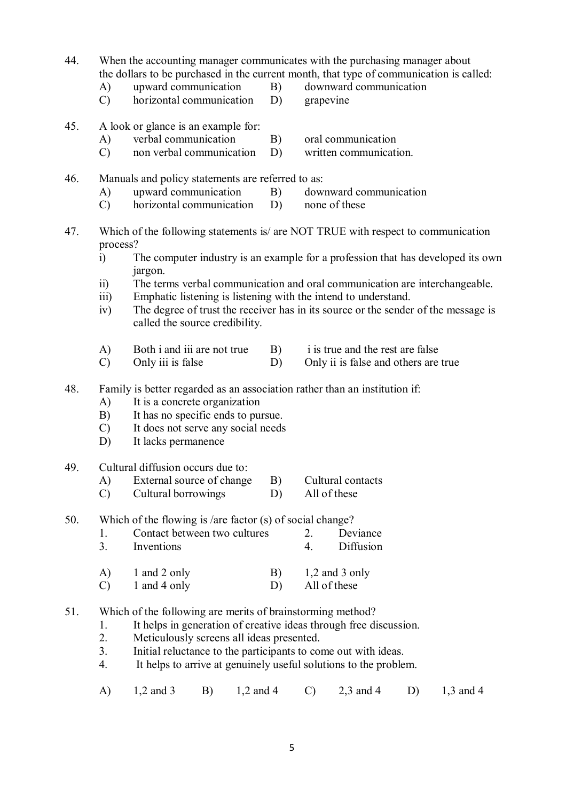- 44. When the accounting manager communicates with the purchasing manager about the dollars to be purchased in the current month, that type of communication is called:
	- A) upward communication B) downward communication
		-
	- C) horizontal communication D) grapevine
- 45. A look or glance is an example for:
	- A) verbal communication B) oral communication
	- C) non verbal communication D) written communication.
- 46. Manuals and policy statements are referred to as:<br>A) upward communication B) dow
	- A) upward communication B) downward communication
		-
	- C) horizontal communication D) none of these
- 47. Which of the following statements is/ are NOT TRUE with respect to communication process?
	- i) The computer industry is an example for a profession that has developed its own jargon.
	- ii) The terms verbal communication and oral communication are interchangeable.
	- iii) Emphatic listening is listening with the intend to understand.
	- iv) The degree of trust the receiver has in its source or the sender of the message is called the source credibility.
	- A) Both i and iii are not true B) is true and the rest are false
	- C) Only iii is false D) Only ii is false and others are true
- 48. Family is better regarded as an association rather than an institution if:
	- A) It is a concrete organization
	- B) It has no specific ends to pursue.
	- C) It does not serve any social needs
	- D) It lacks permanence
- 49. Cultural diffusion occurs due to:
	- A) External source of change B) Cultural contacts
	- C) Cultural borrowings D) All of these

50. Which of the flowing is /are factor (s) of social change?

- 1. Contact between two cultures 2. Deviance 3. Inventions 4. Diffusion
- A) 1 and 2 only B) 1,2 and 3 only
- C) 1 and 4 only D) All of these
- 51. Which of the following are merits of brainstorming method?
	- 1. It helps in generation of creative ideas through free discussion.
	- 2. Meticulously screens all ideas presented.
	- 3. Initial reluctance to the participants to come out with ideas.
	- 4. It helps to arrive at genuinely useful solutions to the problem.
	- A) 1,2 and 3 B) 1,2 and 4 C) 2,3 and 4 D) 1,3 and 4
- 
- -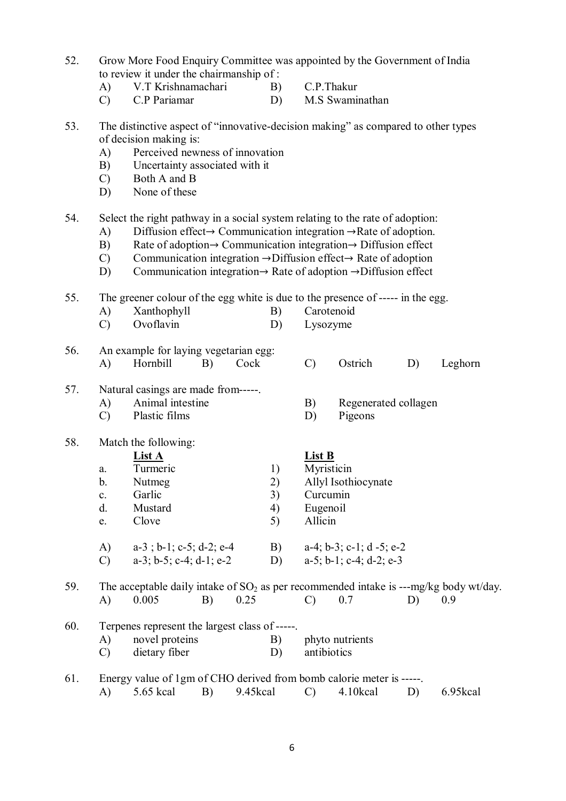- 52. Grow More Food Enquiry Committee was appointed by the Government of India to review it under the chairmanship of :
	- A) V.T Krishnamachari B) C.P.Thakur
		-
	- C) C.P Pariamar D) M.S Swaminathan
- 53. The distinctive aspect of "innovative-decision making" as compared to other types of decision making is:
	- A) Perceived newness of innovation
	- B) Uncertainty associated with it
	- C) Both A and B
	- D) None of these

54. Select the right pathway in a social system relating to the rate of adoption:

- A) Diffusion effect→ Communication integration →Rate of adoption.
- B) Rate of adoption $\rightarrow$  Communication integration $\rightarrow$  Diffusion effect
- C) Communication integration →Diffusion effect→ Rate of adoption
- D) Communication integration→ Rate of adoption →Diffusion effect

55. The greener colour of the egg white is due to the presence of ----- in the egg.

- A) Xanthophyll B) Carotenoid
- C) Ovoflavin D) Lysozyme
- 56. An example for laying vegetarian egg: A) Hornbill B) Cock C) Ostrich D) Leghorn

## 57. Natural casings are made from-----.

- A) Animal intestine B) Regenerated collagen
	-
- C) Plastic films D) Pigeons

## 58. Match the following:

**List A**<br>
Turmeric 1) **List B**<br>
Myrist a. Turmeric 1) Myristicin b. Nutmeg 2) Allyl Isothiocynate c. Garlic 3) Curcumin d. Mustard 4) Eugenoil e. Clove 5) Allicin A) a-3; b-1; c-5; d-2; e-4 B) a-4; b-3; c-1; d-5; e-2<br>C) a-3; b-5; c-4; d-1; e-2 D) a-5; b-1; c-4; d-2; e-3 C) a-3; b-5; c-4; d-1; e-2 D)

59. The acceptable daily intake of  $SO_2$  as per recommended intake is ---mg/kg body wt/day.<br>A)  $0.005$  B)  $0.25$  C)  $0.7$  D)  $0.9$ A) 0.005 B) 0.25 C) 0.7 D) 0.9

- 60. Terpenes represent the largest class of -----. A) novel proteins B) phyto nutrients C) dietary fiber D) antibiotics
- 61. Energy value of 1gm of CHO derived from bomb calorie meter is -----. A) 5.65 kcal B) 9.45kcal C) 4.10kcal D) 6.95kcal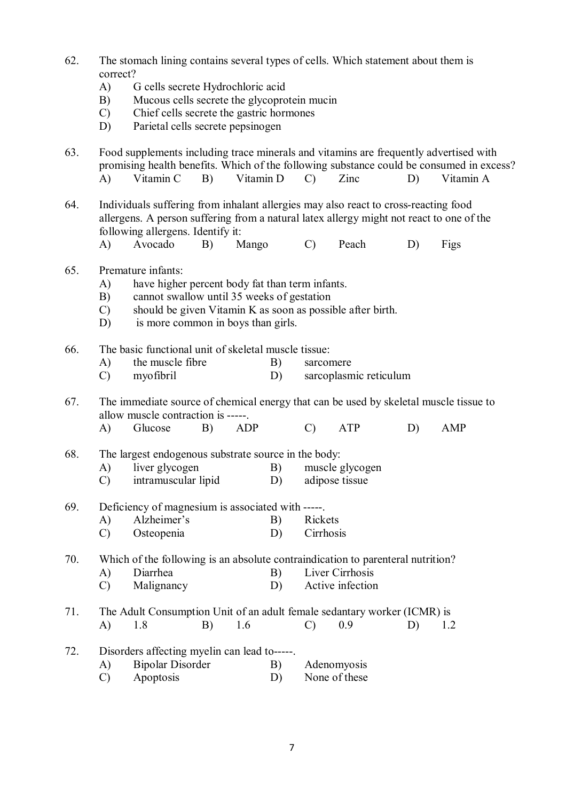- 62. The stomach lining contains several types of cells. Which statement about them is correct?
	- A) G cells secrete Hydrochloric acid
	- B) Mucous cells secrete the glycoprotein mucin
	- C) Chief cells secrete the gastric hormones
	- D) Parietal cells secrete pepsinogen
- 63. Food supplements including trace minerals and vitamins are frequently advertised with promising health benefits. Which of the following substance could be consumed in excess? A) Vitamin C B) Vitamin D C) Zinc D) Vitamin A 64. Individuals suffering from inhalant allergies may also react to cross-reacting food allergens. A person suffering from a natural latex allergy might not react to one of the following allergens. Identify it: A) Avocado B) Mango C) Peach D) Figs 65. Premature infants: A) have higher percent body fat than term infants. B) cannot swallow until 35 weeks of gestation C) should be given Vitamin K as soon as possible after birth. D) is more common in boys than girls. 66. The basic functional unit of skeletal muscle tissue: A) the muscle fibre B) sarcomere C) myofibril D) sarcoplasmic reticulum 67. The immediate source of chemical energy that can be used by skeletal muscle tissue to allow muscle contraction is -----. A) Glucose B) ADP C) ATP D) AMP 68. The largest endogenous substrate source in the body: A) liver glycogen B) muscle glycogen C) intramuscular lipid D) adipose tissue 69. Deficiency of magnesium is associated with -----. A) Alzheimer's B) Rickets C) Osteopenia D) Cirrhosis 70. Which of the following is an absolute contraindication to parenteral nutrition? A) Diarrhea B) Liver Cirrhosis C) Malignancy D) Active infection 71. The Adult Consumption Unit of an adult female sedantary worker (ICMR) is A) 1.8 B) 1.6 C) 0.9 D) 1.2 72. Disorders affecting myelin can lead to-----. A) Bipolar Disorder B) Adenomyosis C) Apoptosis D) None of these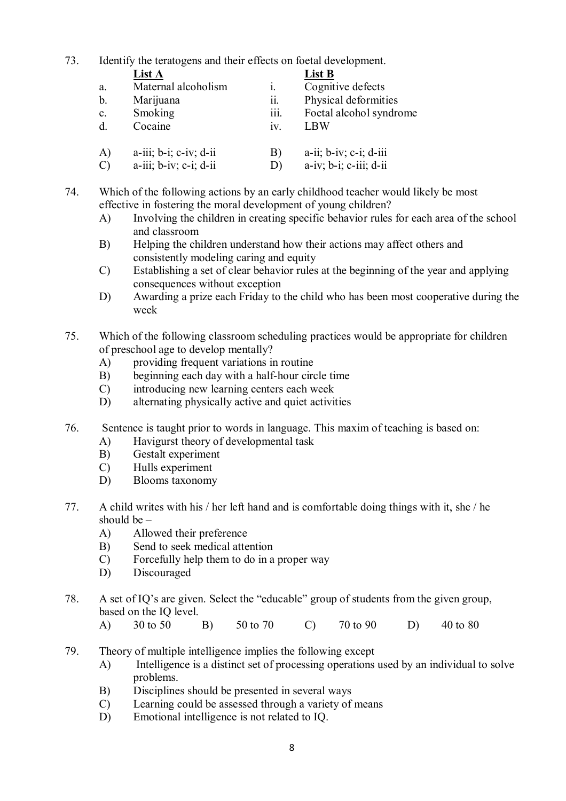73. Identify the teratogens and their effects on foetal development.

|                | <b>List A</b>                      |      | List B                             |
|----------------|------------------------------------|------|------------------------------------|
| a.             | Maternal alcoholism                | 1.   | Cognitive defects                  |
| b.             | Marijuana                          | ii.  | Physical deformities               |
| C <sub>1</sub> | Smoking                            | iii. | Foetal alcohol syndrome            |
| $d_{\cdot}$    | Cocaine                            | 1V   | LBW                                |
| $\bf{A}$       | $a$ -iii; $b$ -i; $c$ -iv; $d$ -ii | B)   | $a$ -ii; $b$ -iv; $c$ -i; $d$ -iii |

C) a-iii; b-iv; c-i; d-ii D) a-iv; b-i; c-iii; d-ii

74. Which of the following actions by an early childhood teacher would likely be most effective in fostering the moral development of young children?

- A) Involving the children in creating specific behavior rules for each area of the school and classroom
- B) Helping the children understand how their actions may affect others and consistently modeling caring and equity
- C) Establishing a set of clear behavior rules at the beginning of the year and applying consequences without exception
- D) Awarding a prize each Friday to the child who has been most cooperative during the week
- 75. Which of the following classroom scheduling practices would be appropriate for children of preschool age to develop mentally?
	- A) providing frequent variations in routine
	- B) beginning each day with a half-hour circle time
	- C) introducing new learning centers each week
	- D) alternating physically active and quiet activities
- 76. Sentence is taught prior to words in language. This maxim of teaching is based on:
	- A) Havigurst theory of developmental task
	- B) Gestalt experiment
	- C) Hulls experiment
	- D) Blooms taxonomy
- 77. A child writes with his / her left hand and is comfortable doing things with it, she / he should be  $-$ 
	- A) Allowed their preference
	- B) Send to seek medical attention
	- C) Forcefully help them to do in a proper way
	- D) Discouraged
- 78. A set of IQ's are given. Select the "educable" group of students from the given group, based on the IQ level.
	- A) 30 to 50 B) 50 to 70 C) 70 to 90 D) 40 to 80
- 79. Theory of multiple intelligence implies the following except
	- A) Intelligence is a distinct set of processing operations used by an individual to solve problems.
	- B) Disciplines should be presented in several ways
	- C) Learning could be assessed through a variety of means
	- D) Emotional intelligence is not related to IQ.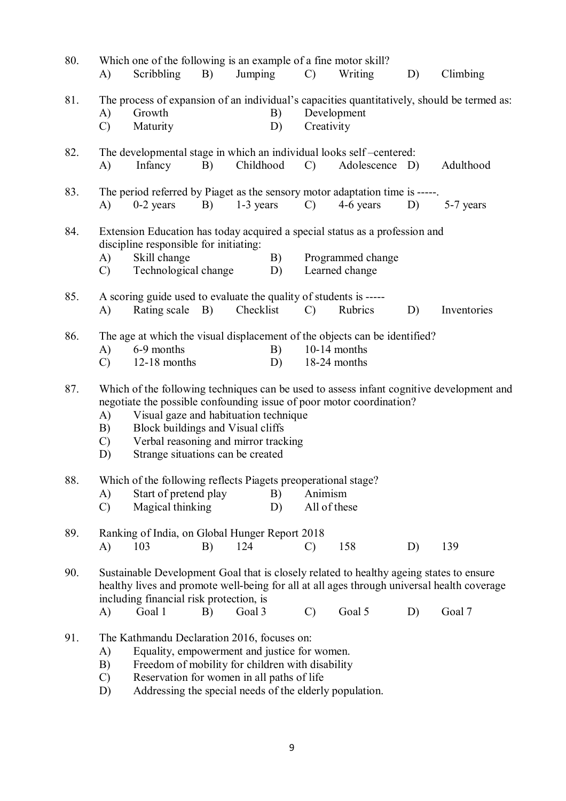| 80. | Which one of the following is an example of a fine motor skill?<br>Scribbling<br>Jumping<br>Climbing<br>B)<br>Writing<br>D)<br>A)<br>$\mathcal{C}$                                                                                                                                                                                                             |  |  |  |  |  |  |  |
|-----|----------------------------------------------------------------------------------------------------------------------------------------------------------------------------------------------------------------------------------------------------------------------------------------------------------------------------------------------------------------|--|--|--|--|--|--|--|
| 81. | The process of expansion of an individual's capacities quantitatively, should be termed as:<br>Growth<br>Development<br>B)<br>A)<br>Creativity<br>$\mathcal{C}$<br>Maturity<br>D)                                                                                                                                                                              |  |  |  |  |  |  |  |
| 82. | The developmental stage in which an individual looks self-centered:<br>Childhood<br>Adolescence D)<br>A)<br>Infancy<br>B)<br>$\mathcal{C}$<br>Adulthood                                                                                                                                                                                                        |  |  |  |  |  |  |  |
| 83. | The period referred by Piaget as the sensory motor adaptation time is -----.<br>$1-3$ years<br>4-6 years<br>$0-2$ years<br>$\mathcal{C}$ )<br>B)<br>D)<br>A)<br>5-7 years                                                                                                                                                                                      |  |  |  |  |  |  |  |
| 84. | Extension Education has today acquired a special status as a profession and<br>discipline responsible for initiating:<br>Skill change<br>B)<br>Programmed change<br>A)<br>Technological change<br>Learned change<br>$\mathcal{C}$<br>D)                                                                                                                        |  |  |  |  |  |  |  |
| 85. | A scoring guide used to evaluate the quality of students is -----<br>Checklist<br>$\bf{A}$<br>Rating scale B)<br>Rubrics<br>$\mathcal{C}$<br>D)<br>Inventories                                                                                                                                                                                                 |  |  |  |  |  |  |  |
| 86. | The age at which the visual displacement of the objects can be identified?<br>6-9 months<br>$10-14$ months<br>$\bf{A}$<br>B)<br>12-18 months<br>D)<br>18-24 months<br>$\mathcal{C}$                                                                                                                                                                            |  |  |  |  |  |  |  |
| 87. | Which of the following techniques can be used to assess infant cognitive development and<br>negotiate the possible confounding issue of poor motor coordination?<br>Visual gaze and habituation technique<br>A)<br>Block buildings and Visual cliffs<br>B)<br>Verbal reasoning and mirror tracking<br>$\mathcal{C}$<br>Strange situations can be created<br>D) |  |  |  |  |  |  |  |
| 88. | Which of the following reflects Piagets preoperational stage?                                                                                                                                                                                                                                                                                                  |  |  |  |  |  |  |  |
|     | Start of pretend play<br>Animism<br>B)<br>A)<br>Magical thinking<br>All of these<br>$\mathcal{C}$<br>D)                                                                                                                                                                                                                                                        |  |  |  |  |  |  |  |
| 89. | Ranking of India, on Global Hunger Report 2018<br>158<br>139<br>103<br>124<br>D)<br>A)<br>B)<br>$\mathcal{C}$                                                                                                                                                                                                                                                  |  |  |  |  |  |  |  |
| 90. | Sustainable Development Goal that is closely related to healthy ageing states to ensure<br>healthy lives and promote well-being for all at all ages through universal health coverage<br>including financial risk protection, is<br>Goal 5<br>D)<br>Goal 7<br>Goal 1<br>Goal 3<br>$\mathcal{C}$<br>A)<br>B)                                                    |  |  |  |  |  |  |  |
| 91. | The Kathmandu Declaration 2016, focuses on:<br>Equality, empowerment and justice for women.<br>A)<br>Freedom of mobility for children with disability<br>B)<br>Reservation for women in all paths of life<br>$\mathcal{C}$                                                                                                                                     |  |  |  |  |  |  |  |

D) Addressing the special needs of the elderly population.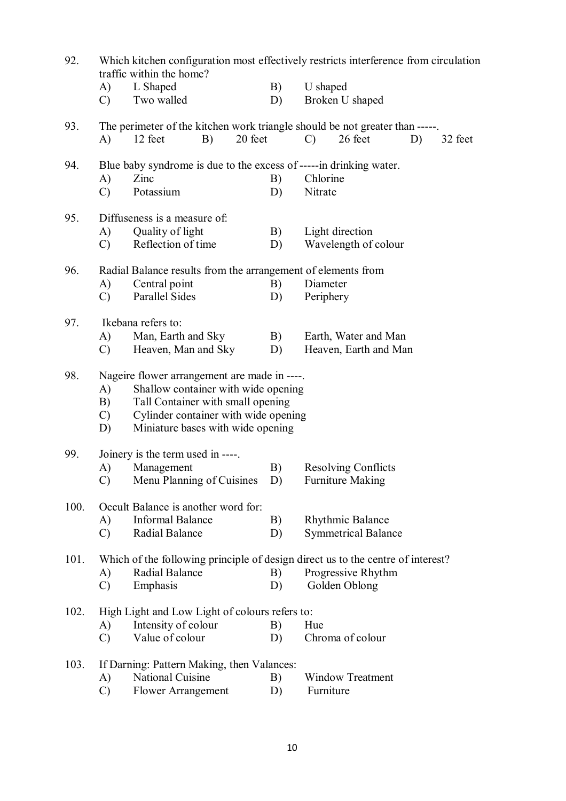| 92.  |                                                              | traffic within the home?                                                     |         |                                                                                 | Which kitchen configuration most effectively restricts interference from circulation |                       |    |         |  |  |  |  |
|------|--------------------------------------------------------------|------------------------------------------------------------------------------|---------|---------------------------------------------------------------------------------|--------------------------------------------------------------------------------------|-----------------------|----|---------|--|--|--|--|
|      | A)<br>$\mathcal{C}$                                          | L Shaped<br>Two walled                                                       |         | B)<br>D)                                                                        | U shaped                                                                             | Broken U shaped       |    |         |  |  |  |  |
| 93.  |                                                              | The perimeter of the kitchen work triangle should be not greater than -----. |         |                                                                                 |                                                                                      |                       |    |         |  |  |  |  |
|      | A)                                                           | 12 feet<br>B)                                                                | 20 feet |                                                                                 | $\mathcal{C}$                                                                        | 26 feet               | D) | 32 feet |  |  |  |  |
| 94.  |                                                              | Blue baby syndrome is due to the excess of -----in drinking water.           |         |                                                                                 |                                                                                      |                       |    |         |  |  |  |  |
|      | A)                                                           | Zinc                                                                         |         | B)                                                                              | Chlorine                                                                             |                       |    |         |  |  |  |  |
|      | $\mathcal{C}$                                                | Potassium                                                                    |         | D)                                                                              | Nitrate                                                                              |                       |    |         |  |  |  |  |
| 95.  | Diffuseness is a measure of:                                 |                                                                              |         |                                                                                 |                                                                                      |                       |    |         |  |  |  |  |
|      | A)                                                           | Quality of light                                                             |         | B)                                                                              |                                                                                      | Light direction       |    |         |  |  |  |  |
|      | $\mathcal{C}$                                                | Reflection of time                                                           |         | D)                                                                              |                                                                                      | Wavelength of colour  |    |         |  |  |  |  |
| 96.  | Radial Balance results from the arrangement of elements from |                                                                              |         |                                                                                 |                                                                                      |                       |    |         |  |  |  |  |
|      | A)                                                           | Central point                                                                |         | B)                                                                              | Diameter                                                                             |                       |    |         |  |  |  |  |
|      | $\mathcal{C}$                                                | Parallel Sides                                                               |         | D)                                                                              | Periphery                                                                            |                       |    |         |  |  |  |  |
| 97.  |                                                              | Ikebana refers to:                                                           |         |                                                                                 |                                                                                      |                       |    |         |  |  |  |  |
|      | A)                                                           | Man, Earth and Sky                                                           | B)      |                                                                                 | Earth, Water and Man                                                                 |                       |    |         |  |  |  |  |
|      | $\mathcal{C}$                                                | Heaven, Man and Sky                                                          |         | D)                                                                              |                                                                                      | Heaven, Earth and Man |    |         |  |  |  |  |
| 98.  | Nageire flower arrangement are made in ----.                 |                                                                              |         |                                                                                 |                                                                                      |                       |    |         |  |  |  |  |
|      | A)                                                           | Shallow container with wide opening                                          |         |                                                                                 |                                                                                      |                       |    |         |  |  |  |  |
|      | B)                                                           | Tall Container with small opening                                            |         |                                                                                 |                                                                                      |                       |    |         |  |  |  |  |
|      | $\mathcal{C}$                                                | Cylinder container with wide opening                                         |         |                                                                                 |                                                                                      |                       |    |         |  |  |  |  |
|      | D)                                                           | Miniature bases with wide opening                                            |         |                                                                                 |                                                                                      |                       |    |         |  |  |  |  |
| 99.  |                                                              | Joinery is the term used in ----.                                            |         |                                                                                 |                                                                                      |                       |    |         |  |  |  |  |
|      | A)                                                           | Management                                                                   | B)      |                                                                                 | <b>Resolving Conflicts</b>                                                           |                       |    |         |  |  |  |  |
|      | $\mathcal{C}$                                                | Menu Planning of Cuisines D)                                                 |         |                                                                                 | <b>Furniture Making</b>                                                              |                       |    |         |  |  |  |  |
| 100. |                                                              | Occult Balance is another word for:                                          |         |                                                                                 |                                                                                      |                       |    |         |  |  |  |  |
|      | A)                                                           | <b>Informal Balance</b>                                                      | B)      | Rhythmic Balance                                                                |                                                                                      |                       |    |         |  |  |  |  |
|      | $\mathcal{C}$                                                | <b>Radial Balance</b><br><b>Symmetrical Balance</b><br>D)                    |         |                                                                                 |                                                                                      |                       |    |         |  |  |  |  |
| 101. |                                                              |                                                                              |         | Which of the following principle of design direct us to the centre of interest? |                                                                                      |                       |    |         |  |  |  |  |
|      | A)                                                           | <b>Radial Balance</b>                                                        |         | B)                                                                              | Progressive Rhythm                                                                   |                       |    |         |  |  |  |  |
|      | $\mathcal{C}$                                                | Emphasis                                                                     |         | D)                                                                              |                                                                                      | Golden Oblong         |    |         |  |  |  |  |
| 102. | High Light and Low Light of colours refers to:               |                                                                              |         |                                                                                 |                                                                                      |                       |    |         |  |  |  |  |
|      | A)                                                           | Intensity of colour                                                          | B)      | Hue                                                                             |                                                                                      |                       |    |         |  |  |  |  |
|      | $\mathcal{C}$                                                | Value of colour                                                              |         | D)                                                                              |                                                                                      | Chroma of colour      |    |         |  |  |  |  |
| 103. |                                                              | If Darning: Pattern Making, then Valances:                                   |         |                                                                                 |                                                                                      |                       |    |         |  |  |  |  |
|      | A)                                                           | National Cuisine                                                             |         | B)                                                                              | <b>Window Treatment</b>                                                              |                       |    |         |  |  |  |  |
|      | $\mathcal{C}$                                                | <b>Flower Arrangement</b>                                                    |         | D)                                                                              | Furniture                                                                            |                       |    |         |  |  |  |  |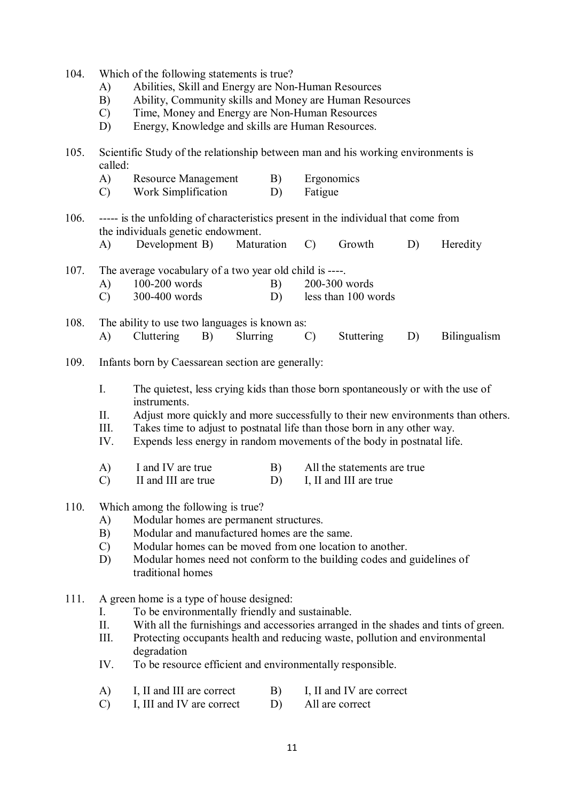- 104. Which of the following statements is true?
	- A) Abilities, Skill and Energy are Non-Human Resources
	- B) Ability, Community skills and Money are Human Resources
	- C) Time, Money and Energy are Non-Human Resources
	- D) Energy, Knowledge and skills are Human Resources.
- 105. Scientific Study of the relationship between man and his working environments is called:
	- A) Resource Management B) Ergonomics
	- C) Work Simplification D) Fatigue
- 106. ----- is the unfolding of characteristics present in the individual that come from the individuals genetic endowment.
	- A) Development B) Maturation C) Growth D) Heredity
- 107. The average vocabulary of a two year old child is ----.
	- A) 100-200 words B) 200-300 words
	- C) 300-400 words D) less than 100 words
- 108. The ability to use two languages is known as: A) Cluttering B) Slurring C) Stuttering D) Bilingualism
- 109. Infants born by Caessarean section are generally:
	- I. The quietest, less crying kids than those born spontaneously or with the use of instruments.
	- II. Adjust more quickly and more successfully to their new environments than others.
	- III. Takes time to adjust to postnatal life than those born in any other way.
	- IV. Expends less energy in random movements of the body in postnatal life.
	- A) I and IV are true B) All the statements are true
	- C) II and III are true D) I, II and III are true
- 110. Which among the following is true?
	- A) Modular homes are permanent structures.
	- B) Modular and manufactured homes are the same.
	- C) Modular homes can be moved from one location to another.<br>D) Modular homes need not conform to the building codes and
	- Modular homes need not conform to the building codes and guidelines of traditional homes
- 111. A green home is a type of house designed:
	- I. To be environmentally friendly and sustainable.
	- II. With all the furnishings and accessories arranged in the shades and tints of green.
	- III. Protecting occupants health and reducing waste, pollution and environmental degradation
	- IV. To be resource efficient and environmentally responsible.
	- A) I, II and III are correct B) I, II and IV are correct
	- C) I, III and IV are correct D) All are correct